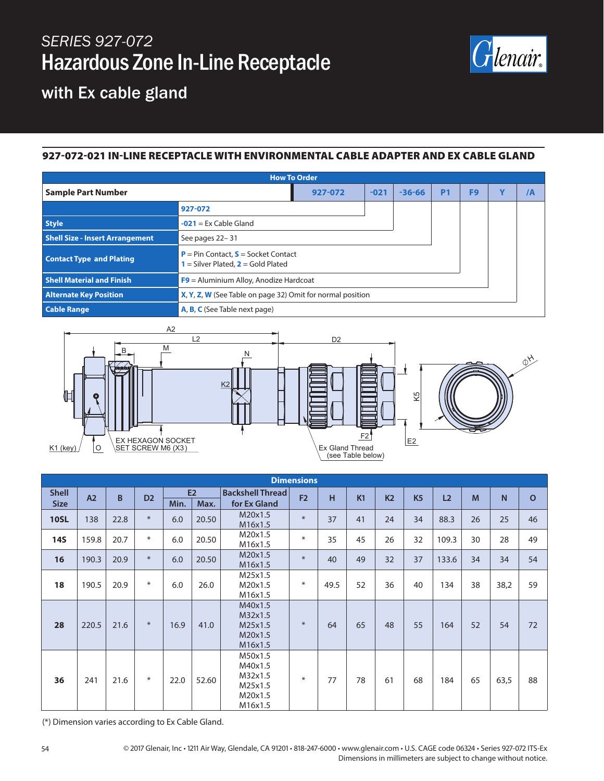# *SERIES 927-072* Hazardous Zone In-Line Receptacle



### with Ex cable gland

#### 927-072-021 IN-LINE RECEPTACLE WITH ENVIRONMENTAL CABLE ADAPTER AND EX CABLE GLAND

| <b>How To Order</b>                    |                                                                                      |        |            |           |                |              |    |  |  |  |
|----------------------------------------|--------------------------------------------------------------------------------------|--------|------------|-----------|----------------|--------------|----|--|--|--|
| <b>Sample Part Number</b>              | 927-072                                                                              | $-021$ | $-36 - 66$ | <b>P1</b> | F <sub>9</sub> | $\mathbf{v}$ | /A |  |  |  |
|                                        | 927-072                                                                              |        |            |           |                |              |    |  |  |  |
| <b>Style</b>                           | $-021$ = Ex Cable Gland                                                              |        |            |           |                |              |    |  |  |  |
| <b>Shell Size - Insert Arrangement</b> | See pages 22-31                                                                      |        |            |           |                |              |    |  |  |  |
| <b>Contact Type and Plating</b>        | <b>P</b> = Pin Contact, $S$ = Socket Contact<br>$=$ Silver Plated, $2 =$ Gold Plated |        |            |           |                |              |    |  |  |  |
| <b>Shell Material and Finish</b>       | $F9$ = Aluminium Alloy, Anodize Hardcoat                                             |        |            |           |                |              |    |  |  |  |
| <b>Alternate Key Position</b>          | X, Y, Z, W (See Table on page 32) Omit for normal position                           |        |            |           |                |              |    |  |  |  |
| <b>Cable Range</b>                     | A, B, C (See Table next page)                                                        |        |            |           |                |              |    |  |  |  |



| <b>Dimensions</b>  |       |                |        |      |                         |                                                                |        |      |                |                |                |       |                |              |    |
|--------------------|-------|----------------|--------|------|-------------------------|----------------------------------------------------------------|--------|------|----------------|----------------|----------------|-------|----------------|--------------|----|
| <b>Shell</b><br>A2 | B     | D <sub>2</sub> | E2     |      | <b>Backshell Thread</b> | F <sub>2</sub>                                                 | H      | K1   | K <sub>2</sub> | K <sub>5</sub> | L <sub>2</sub> | M     | N <sub>1</sub> | $\mathbf{o}$ |    |
| <b>Size</b>        |       |                |        | Min. | Max.                    | for Ex Gland                                                   |        |      |                |                |                |       |                |              |    |
| <b>10SL</b>        | 138   | 22.8           | $*$    | 6.0  | 20.50                   | M20x1.5<br>M16x1.5                                             | $\ast$ | 37   | 41             | 24             | 34             | 88.3  | 26             | 25           | 46 |
| <b>14S</b>         | 159.8 | 20.7           | ∗      | 6.0  | 20.50                   | M20x1.5<br>M16x1.5                                             | $\ast$ | 35   | 45             | 26             | 32             | 109.3 | 30             | 28           | 49 |
| 16                 | 190.3 | 20.9           | $*$    | 6.0  | 20.50                   | M20x1.5<br>M16x1.5                                             | $\ast$ | 40   | 49             | 32             | 37             | 133.6 | 34             | 34           | 54 |
| 18                 | 190.5 | 20.9           | $\ast$ | 6.0  | 26.0                    | M25x1.5<br>M20x1.5<br>M16x1.5                                  | $\ast$ | 49.5 | 52             | 36             | 40             | 134   | 38             | 38,2         | 59 |
| 28                 | 220.5 | 21.6           | $*$    | 16.9 | 41.0                    | M40x1.5<br>M32x1.5<br>M25x1.5<br>M20x1.5<br>M16x1.5            | $*$    | 64   | 65             | 48             | 55             | 164   | 52             | 54           | 72 |
| 36                 | 241   | 21.6           | $\ast$ | 22.0 | 52.60                   | M50x1.5<br>M40x1.5<br>M32x1.5<br>M25x1.5<br>M20x1.5<br>M16x1.5 | $\ast$ | 77   | 78             | 61             | 68             | 184   | 65             | 63,5         | 88 |

(\*) Dimension varies according to Ex Cable Gland.